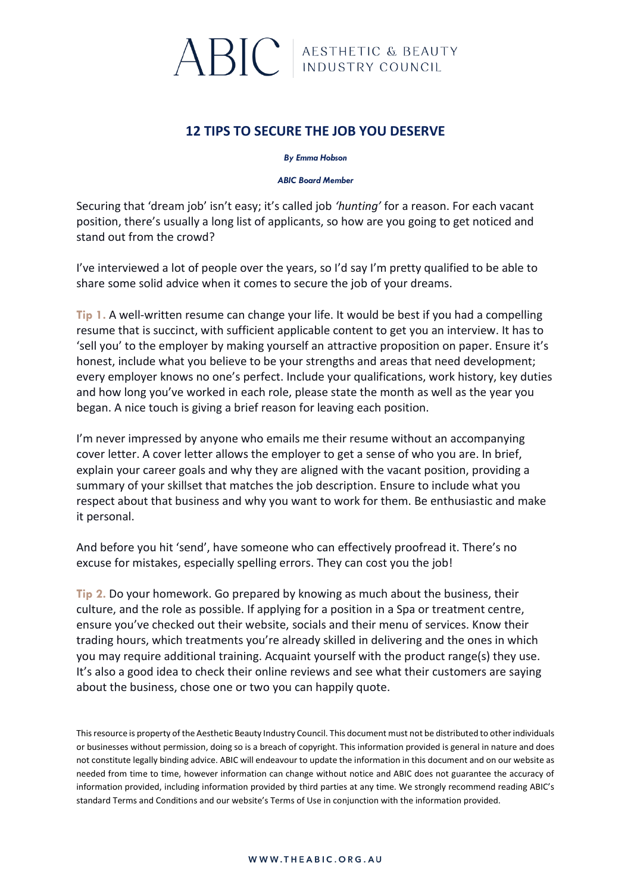### $\text{ABC}$  ABTHETIC & BEAUTY

### **12 TIPS TO SECURE THE JOB YOU DESERVE**

#### *By Emma Hobson*

#### *ABIC Board Member*

Securing that 'dream job' isn't easy; it's called job *'hunting'*for a reason. For each vacant position, there's usually a long list of applicants, so how are you going to get noticed and stand out from the crowd? 

I've interviewed a lot of people over the years, so I'd say I'm pretty qualified to be able to share some solid advice when it comes to secure the job of your dreams.

**Tip 1.** A well-written resume can change your life. It would be best if you had a compelling resume that is succinct, with sufficient applicable content to get you an interview. It has to 'sell you' to the employer by making yourself an attractive proposition on paper. Ensure it's honest, include what you believe to be your strengths and areas that need development; every employer knows no one's perfect. Include your qualifications, work history, key duties and how long you've worked in each role, please state the month as well as the year you began. A nice touch is giving a brief reason for leaving each position. 

I'm never impressed by anyone who emails me their resume without an accompanying cover letter. A cover letter allows the employer to get a sense of who you are. In brief, explain your career goals and why they are aligned with the vacant position, providing a summary of your skillset that matches the job description. Ensure to include what you respect about that business and why you want to work for them. Be enthusiastic and make it personal.

And before you hit 'send', have someone who can effectively proofread it. There's no excuse for mistakes, especially spelling errors. They can cost you the job!

**Tip 2.** Do your homework. Go prepared by knowing as much about the business, their culture, and the role as possible. If applying for a position in a Spa or treatment centre, ensure you've checked out their website, socials and their menu of services. Know their trading hours, which treatments you're already skilled in delivering and the ones in which you may require additional training. Acquaint yourself with the product range(s) they use. It's also a good idea to check their online reviews and see what their customers are saying about the business, chose one or two you can happily quote.

This resource is property of the Aesthetic Beauty Industry Council. This document must not be distributed to other individuals or businesses without permission, doing so is a breach of copyright. This information provided is general in nature and does not constitute legally binding advice. ABIC will endeavour to update the information in this document and on our website as needed from time to time, however information can change without notice and ABIC does not guarantee the accuracy of information provided, including information provided by third parties at any time. We strongly recommend reading ABIC's standard Terms and Conditions and our website's Terms of Use in conjunction with the information provided.

#### WWW.THEABIC.ORG.AU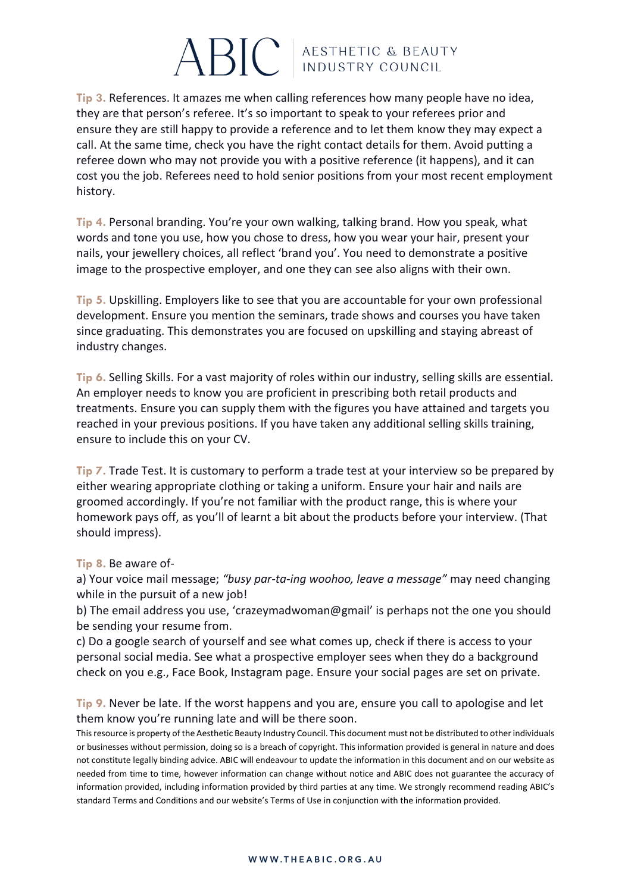# ABIC ALSTHETIC & BEAUTY

**Tip 3.** References. It amazes me when calling references how many people have no idea, they are that person's referee. It's so important to speak to your referees prior and ensure they are still happy to provide a reference and to let them know they may expect a call. At the same time, check you have the right contact details for them. Avoid putting a referee down who may not provide you with a positive reference (it happens), and it can cost you the job. Referees need to hold senior positions from your most recent employment history.

**Tip 4.** Personal branding. You're your own walking, talking brand. How you speak, what words and tone you use, how you chose to dress, how you wear your hair, present your nails, your jewellery choices, all reflect 'brand you'. You need to demonstrate a positive image to the prospective employer, and one they can see also aligns with their own.

**Tip 5.** Upskilling. Employers like to see that you are accountable for your own professional development. Ensure you mention the seminars, trade shows and courses you have taken since graduating. This demonstrates you are focused on upskilling and staying abreast of industry changes.

**Tip 6.** Selling Skills. For a vast majority of roles within our industry, selling skills are essential. An employer needs to know you are proficient in prescribing both retail products and treatments. Ensure you can supply them with the figures you have attained and targets you reached in your previous positions. If you have taken any additional selling skills training, ensure to include this on your CV. 

**Tip 7.** Trade Test. It is customary to perform a trade test at your interview so be prepared by either wearing appropriate clothing or taking a uniform. Ensure your hair and nails are groomed accordingly. If you're not familiar with the product range, this is where your homework pays off, as you'll of learnt a bit about the products before your interview. (That should impress).

**Tip 8.** Be aware of-

a) Your voice mail message; *"busy par-ta-ing woohoo, leave a message"* may need changing while in the pursuit of a new job!

b) The email address you use, 'crazeymadwoman@gmail' is perhaps not the one you should be sending your resume from.

c) Do a google search of yourself and see what comes up, check if there is access to your personal social media. See what a prospective employer sees when they do a background check on you e.g., Face Book, Instagram page. Ensure your social pages are set on private.  

**Tip 9.** Never be late. If the worst happens and you are, ensure you call to apologise and let them know you're running late and will be there soon.

This resource is property of the Aesthetic Beauty Industry Council. This document must not be distributed to other individuals or businesses without permission, doing so is a breach of copyright. This information provided is general in nature and does not constitute legally binding advice. ABIC will endeavour to update the information in this document and on our website as needed from time to time, however information can change without notice and ABIC does not guarantee the accuracy of information provided, including information provided by third parties at any time. We strongly recommend reading ABIC's standard Terms and Conditions and our website's Terms of Use in conjunction with the information provided.